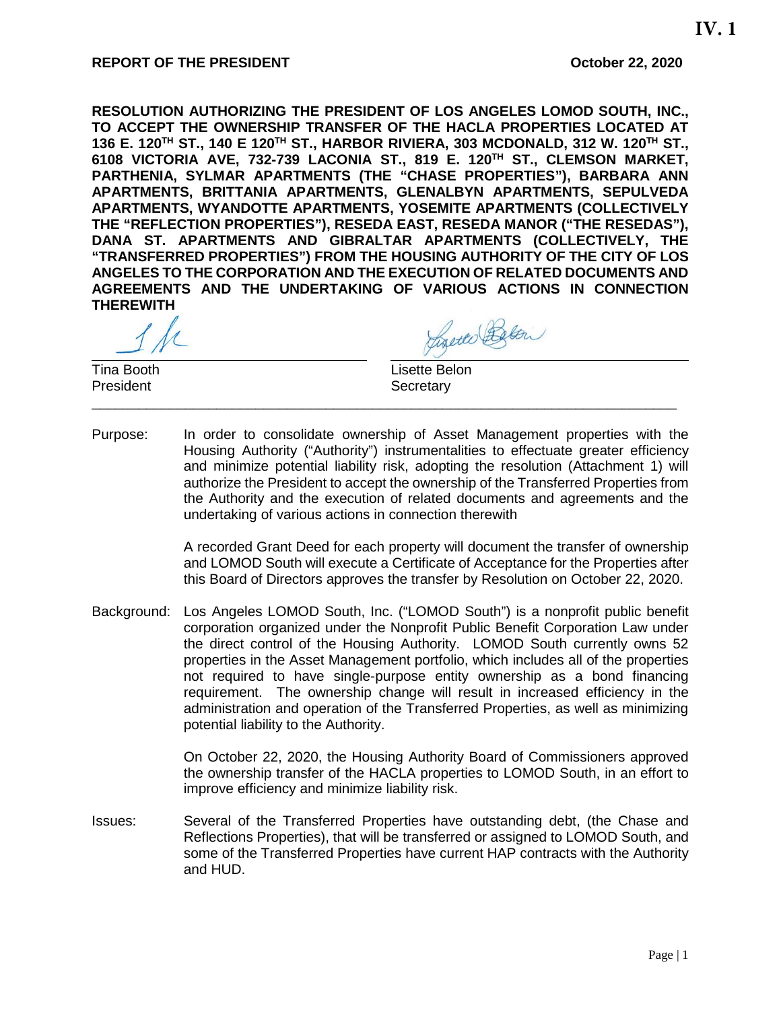**RESOLUTION AUTHORIZING THE PRESIDENT OF LOS ANGELES LOMOD SOUTH, INC., TO ACCEPT THE OWNERSHIP TRANSFER OF THE HACLA PROPERTIES LOCATED AT 136 E. 120TH ST., 140 E 120TH ST., HARBOR RIVIERA, 303 MCDONALD, 312 W. 120TH ST., 6108 VICTORIA AVE, 732-739 LACONIA ST., 819 E. 120TH ST., CLEMSON MARKET, PARTHENIA, SYLMAR APARTMENTS (THE "CHASE PROPERTIES"), BARBARA ANN APARTMENTS, BRITTANIA APARTMENTS, GLENALBYN APARTMENTS, SEPULVEDA APARTMENTS, WYANDOTTE APARTMENTS, YOSEMITE APARTMENTS (COLLECTIVELY THE "REFLECTION PROPERTIES"), RESEDA EAST, RESEDA MANOR ("THE RESEDAS"), DANA ST. APARTMENTS AND GIBRALTAR APARTMENTS (COLLECTIVELY, THE "TRANSFERRED PROPERTIES") FROM THE HOUSING AUTHORITY OF THE CITY OF LOS ANGELES TO THE CORPORATION AND THE EXECUTION OF RELATED DOCUMENTS AND AGREEMENTS AND THE UNDERTAKING OF VARIOUS ACTIONS IN CONNECTION THEREWITH**

Charles Below

Tina Booth Lisette Belon Secretary

Purpose: In order to consolidate ownership of Asset Management properties with the Housing Authority ("Authority") instrumentalities to effectuate greater efficiency and minimize potential liability risk, adopting the resolution (Attachment 1) will authorize the President to accept the ownership of the Transferred Properties from the Authority and the execution of related documents and agreements and the undertaking of various actions in connection therewith

\_\_\_\_\_\_\_\_\_\_\_\_\_\_\_\_\_\_\_\_\_\_\_\_\_\_\_\_\_\_\_\_\_\_\_\_\_\_\_\_\_\_\_\_\_\_\_\_\_\_\_\_\_\_\_\_\_\_\_\_\_\_\_\_\_\_\_\_\_\_\_\_\_\_\_

A recorded Grant Deed for each property will document the transfer of ownership and LOMOD South will execute a Certificate of Acceptance for the Properties after this Board of Directors approves the transfer by Resolution on October 22, 2020.

Background: Los Angeles LOMOD South, Inc. ("LOMOD South") is a nonprofit public benefit corporation organized under the Nonprofit Public Benefit Corporation Law under the direct control of the Housing Authority. LOMOD South currently owns 52 properties in the Asset Management portfolio, which includes all of the properties not required to have single-purpose entity ownership as a bond financing requirement. The ownership change will result in increased efficiency in the administration and operation of the Transferred Properties, as well as minimizing potential liability to the Authority.

> On October 22, 2020, the Housing Authority Board of Commissioners approved the ownership transfer of the HACLA properties to LOMOD South, in an effort to improve efficiency and minimize liability risk.

Issues: Several of the Transferred Properties have outstanding debt, (the Chase and Reflections Properties), that will be transferred or assigned to LOMOD South, and some of the Transferred Properties have current HAP contracts with the Authority and HUD.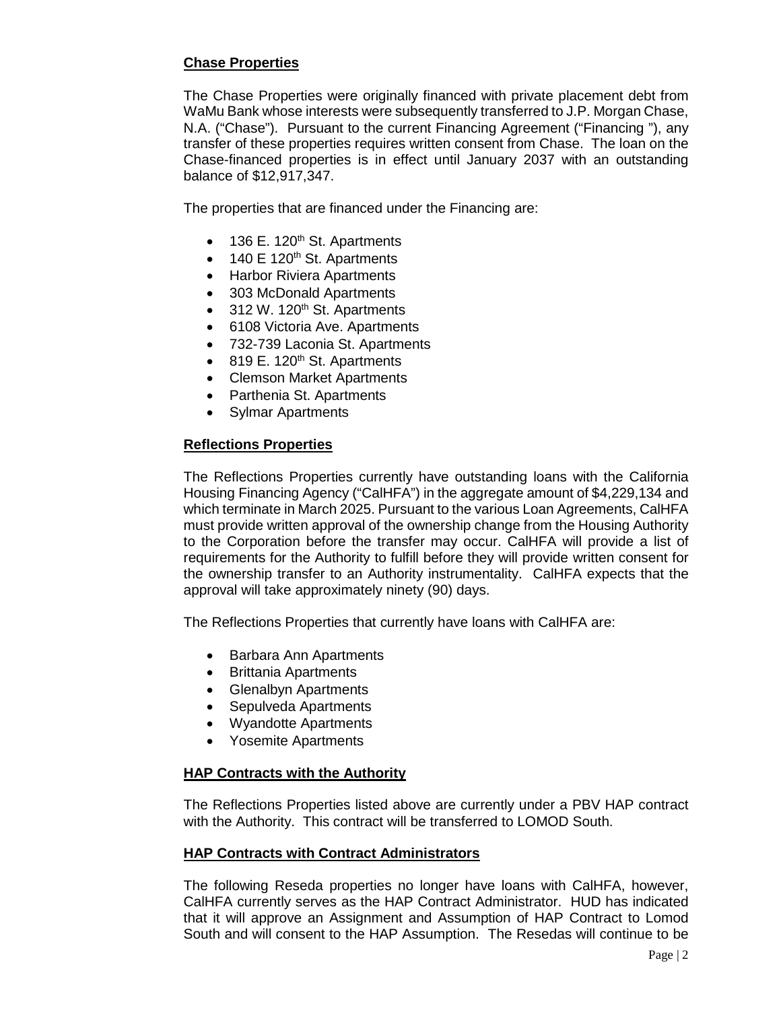# **Chase Properties**

The Chase Properties were originally financed with private placement debt from WaMu Bank whose interests were subsequently transferred to J.P. Morgan Chase, N.A. ("Chase"). Pursuant to the current Financing Agreement ("Financing "), any transfer of these properties requires written consent from Chase. The loan on the Chase-financed properties is in effect until January 2037 with an outstanding balance of \$12,917,347.

The properties that are financed under the Financing are:

- $\bullet$  136 E. 120<sup>th</sup> St. Apartments
- 140 E 120<sup>th</sup> St. Apartments
- Harbor Riviera Apartments
- 303 McDonald Apartments
- $\bullet$  312 W. 120<sup>th</sup> St. Apartments
- 6108 Victoria Ave. Apartments
- 732-739 Laconia St. Apartments
- $\bullet$  819 E. 120<sup>th</sup> St. Apartments
- Clemson Market Apartments
- Parthenia St. Apartments
- Sylmar Apartments

### **Reflections Properties**

The Reflections Properties currently have outstanding loans with the California Housing Financing Agency ("CalHFA") in the aggregate amount of \$4,229,134 and which terminate in March 2025. Pursuant to the various Loan Agreements, CalHFA must provide written approval of the ownership change from the Housing Authority to the Corporation before the transfer may occur. CalHFA will provide a list of requirements for the Authority to fulfill before they will provide written consent for the ownership transfer to an Authority instrumentality. CalHFA expects that the approval will take approximately ninety (90) days.

The Reflections Properties that currently have loans with CalHFA are:

- Barbara Ann Apartments
- Brittania Apartments
- Glenalbyn Apartments
- Sepulveda Apartments
- Wyandotte Apartments
- Yosemite Apartments

#### **HAP Contracts with the Authority**

The Reflections Properties listed above are currently under a PBV HAP contract with the Authority. This contract will be transferred to LOMOD South.

#### **HAP Contracts with Contract Administrators**

The following Reseda properties no longer have loans with CalHFA, however, CalHFA currently serves as the HAP Contract Administrator. HUD has indicated that it will approve an Assignment and Assumption of HAP Contract to Lomod South and will consent to the HAP Assumption. The Resedas will continue to be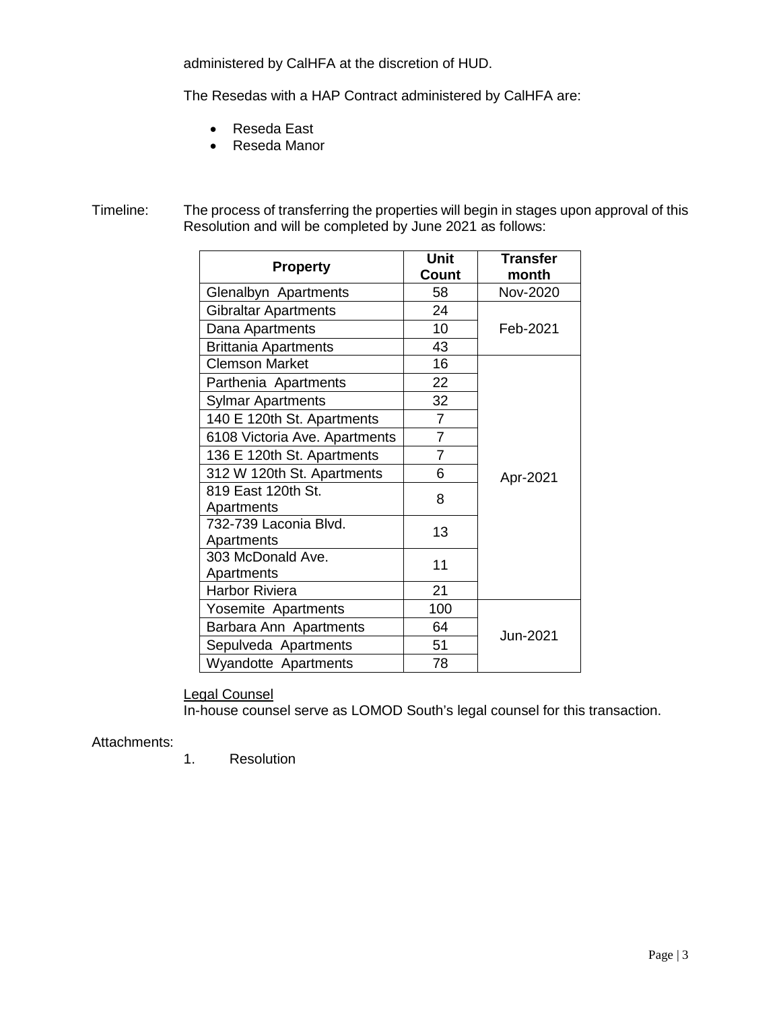administered by CalHFA at the discretion of HUD.

The Resedas with a HAP Contract administered by CalHFA are:

- Reseda East
- Reseda Manor

Timeline: The process of transferring the properties will begin in stages upon approval of this Resolution and will be completed by June 2021 as follows:

| <b>Property</b>                     | <b>Unit</b><br>Count | <b>Transfer</b><br>month |
|-------------------------------------|----------------------|--------------------------|
| Glenalbyn Apartments                | 58                   | Nov-2020                 |
| <b>Gibraltar Apartments</b>         | 24                   | Feb-2021                 |
| Dana Apartments                     | 10                   |                          |
| <b>Brittania Apartments</b>         | 43                   |                          |
| <b>Clemson Market</b>               | 16                   | Apr-2021                 |
| Parthenia Apartments                | 22                   |                          |
| Sylmar Apartments                   | 32                   |                          |
| 140 E 120th St. Apartments          | $\overline{7}$       |                          |
| 6108 Victoria Ave. Apartments       | $\overline{7}$       |                          |
| 136 E 120th St. Apartments          | $\overline{7}$       |                          |
| 312 W 120th St. Apartments          | 6                    |                          |
| 819 East 120th St.<br>Apartments    | 8                    |                          |
| 732-739 Laconia Blvd.<br>Apartments | 13                   |                          |
| 303 McDonald Ave.<br>Apartments     | 11                   |                          |
| <b>Harbor Riviera</b>               | 21                   |                          |
| Yosemite Apartments                 | 100                  | Jun-2021                 |
| Barbara Ann Apartments              | 64                   |                          |
| Sepulveda Apartments                | 51                   |                          |
| <b>Wyandotte Apartments</b>         | 78                   |                          |

Legal Counsel

In-house counsel serve as LOMOD South's legal counsel for this transaction.

## Attachments:

1. Resolution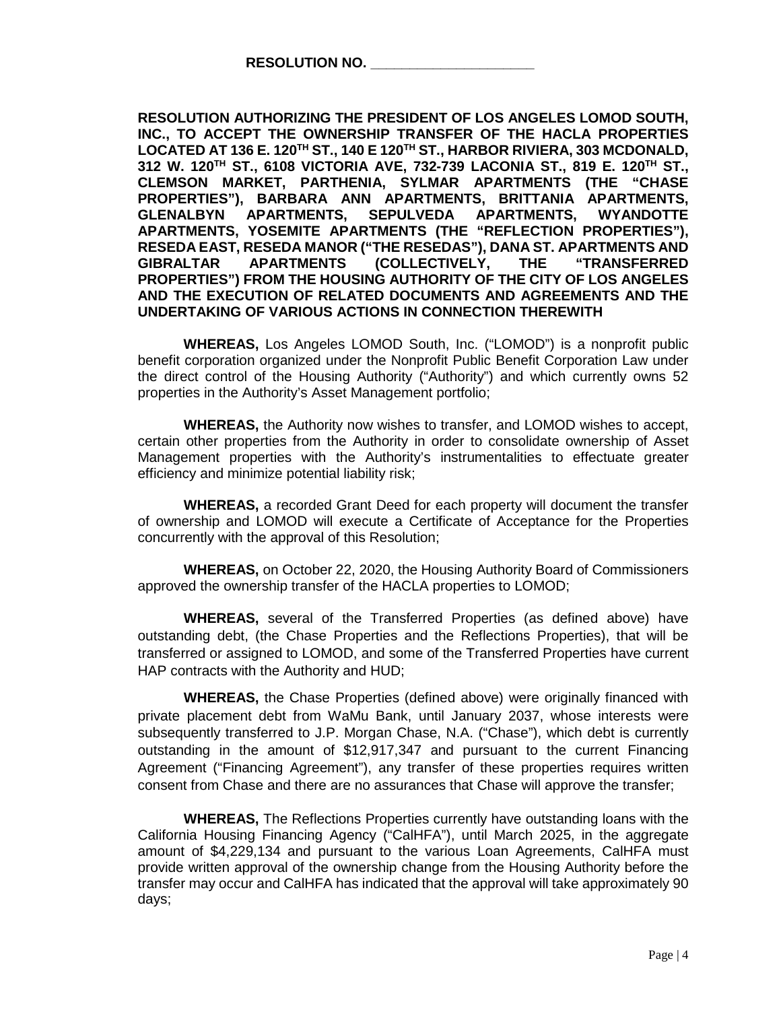**RESOLUTION AUTHORIZING THE PRESIDENT OF LOS ANGELES LOMOD SOUTH, INC., TO ACCEPT THE OWNERSHIP TRANSFER OF THE HACLA PROPERTIES LOCATED AT 136 E. 120TH ST., 140 E 120TH ST., HARBOR RIVIERA, 303 MCDONALD, 312 W. 120TH ST., 6108 VICTORIA AVE, 732-739 LACONIA ST., 819 E. 120TH ST., CLEMSON MARKET, PARTHENIA, SYLMAR APARTMENTS (THE "CHASE PROPERTIES"), BARBARA ANN APARTMENTS, BRITTANIA APARTMENTS, GLENALBYN APARTMENTS, SEPULVEDA APARTMENTS, WYANDOTTE APARTMENTS, YOSEMITE APARTMENTS (THE "REFLECTION PROPERTIES"), RESEDA EAST, RESEDA MANOR ("THE RESEDAS"), DANA ST. APARTMENTS AND GIBRALTAR APARTMENTS (COLLECTIVELY, THE "TRANSFERRED PROPERTIES") FROM THE HOUSING AUTHORITY OF THE CITY OF LOS ANGELES AND THE EXECUTION OF RELATED DOCUMENTS AND AGREEMENTS AND THE UNDERTAKING OF VARIOUS ACTIONS IN CONNECTION THEREWITH**

**WHEREAS,** Los Angeles LOMOD South, Inc. ("LOMOD") is a nonprofit public benefit corporation organized under the Nonprofit Public Benefit Corporation Law under the direct control of the Housing Authority ("Authority") and which currently owns 52 properties in the Authority's Asset Management portfolio;

**WHEREAS,** the Authority now wishes to transfer, and LOMOD wishes to accept, certain other properties from the Authority in order to consolidate ownership of Asset Management properties with the Authority's instrumentalities to effectuate greater efficiency and minimize potential liability risk;

**WHEREAS,** a recorded Grant Deed for each property will document the transfer of ownership and LOMOD will execute a Certificate of Acceptance for the Properties concurrently with the approval of this Resolution;

**WHEREAS,** on October 22, 2020, the Housing Authority Board of Commissioners approved the ownership transfer of the HACLA properties to LOMOD;

**WHEREAS,** several of the Transferred Properties (as defined above) have outstanding debt, (the Chase Properties and the Reflections Properties), that will be transferred or assigned to LOMOD, and some of the Transferred Properties have current HAP contracts with the Authority and HUD;

**WHEREAS,** the Chase Properties (defined above) were originally financed with private placement debt from WaMu Bank, until January 2037, whose interests were subsequently transferred to J.P. Morgan Chase, N.A. ("Chase"), which debt is currently outstanding in the amount of \$12,917,347 and pursuant to the current Financing Agreement ("Financing Agreement"), any transfer of these properties requires written consent from Chase and there are no assurances that Chase will approve the transfer;

**WHEREAS,** The Reflections Properties currently have outstanding loans with the California Housing Financing Agency ("CalHFA"), until March 2025, in the aggregate amount of \$4,229,134 and pursuant to the various Loan Agreements, CalHFA must provide written approval of the ownership change from the Housing Authority before the transfer may occur and CalHFA has indicated that the approval will take approximately 90 days;